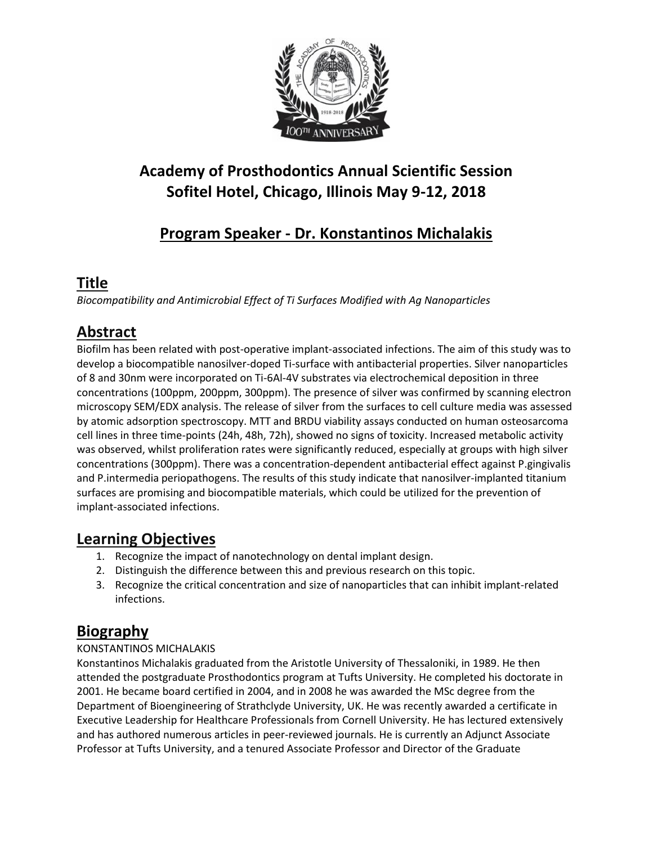

# **Academy of Prosthodontics Annual Scientific Session Sofitel Hotel, Chicago, Illinois May 9-12, 2018**

# **Program Speaker - Dr. Konstantinos Michalakis**

### **Title**

*Biocompatibility and Antimicrobial Effect of Ti Surfaces Modified with Ag Nanoparticles*

## **Abstract**

Biofilm has been related with post-operative implant-associated infections. The aim of this study was to develop a biocompatible nanosilver-doped Ti-surface with antibacterial properties. Silver nanoparticles of 8 and 30nm were incorporated on Ti-6Al-4V substrates via electrochemical deposition in three concentrations (100ppm, 200ppm, 300ppm). The presence of silver was confirmed by scanning electron microscopy SEM/EDX analysis. The release of silver from the surfaces to cell culture media was assessed by atomic adsorption spectroscopy. MTT and BRDU viability assays conducted on human osteosarcoma cell lines in three time-points (24h, 48h, 72h), showed no signs of toxicity. Increased metabolic activity was observed, whilst proliferation rates were significantly reduced, especially at groups with high silver concentrations (300ppm). There was a concentration-dependent antibacterial effect against P.gingivalis and P.intermedia periopathogens. The results of this study indicate that nanosilver-implanted titanium surfaces are promising and biocompatible materials, which could be utilized for the prevention of implant-associated infections.

### **Learning Objectives**

- 1. Recognize the impact of nanotechnology on dental implant design.
- 2. Distinguish the difference between this and previous research on this topic.
- 3. Recognize the critical concentration and size of nanoparticles that can inhibit implant-related infections.

#### **Biography**

#### KONSTANTINOS MICHALAKIS

Konstantinos Michalakis graduated from the Aristotle University of Thessaloniki, in 1989. He then attended the postgraduate Prosthodontics program at Tufts University. He completed his doctorate in 2001. He became board certified in 2004, and in 2008 he was awarded the MSc degree from the Department of Bioengineering of Strathclyde University, UK. He was recently awarded a certificate in Executive Leadership for Healthcare Professionals from Cornell University. He has lectured extensively and has authored numerous articles in peer-reviewed journals. He is currently an Adjunct Associate Professor at Tufts University, and a tenured Associate Professor and Director of the Graduate